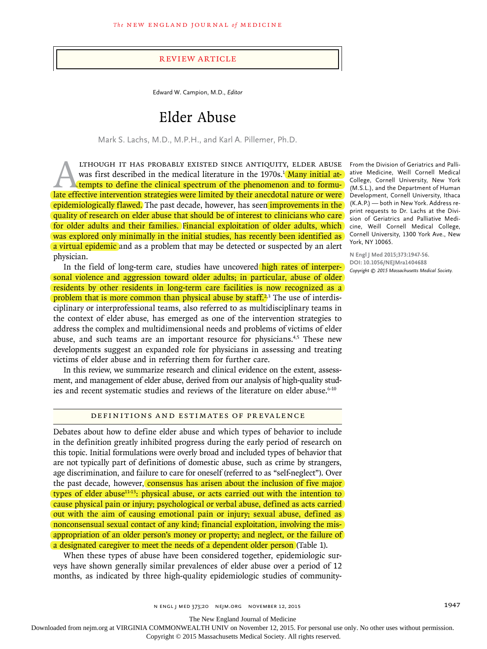### Review Article

Edward W. Campion, M.D., *Editor*

# Elder Abuse

Mark S. Lachs, M.D., M.P.H., and Karl A. Pillemer, Ph.D.

THOUGH IT HAS PROBABLY EXISTED SINCE ANTIQUITY, ELDER ABUSE<br>was first described in the medical literature in the 1970s.<sup>1</sup> Many initial at-<br>tempts to define the clinical spectrum of the phenomenon and to formu-<br>late effect was first described in the medical literature in the 1970s.<sup>1</sup> Many initial attempts to define the clinical spectrum of the phenomenon and to formulate effective intervention strategies were limited by their anecdotal nature or were epidemiologically flawed. The past decade, however, has seen improvements in the quality of research on elder abuse that should be of interest to clinicians who care for older adults and their families. Financial exploitation of older adults, which was explored only minimally in the initial studies, has recently been identified as a virtual epidemic and as a problem that may be detected or suspected by an alert physician.

In the field of long-term care, studies have uncovered high rates of interpersonal violence and aggression toward older adults; in particular, abuse of older residents by other residents in long-term care facilities is now recognized as a problem that is more common than physical abuse by staff.<sup>2,3</sup> The use of interdisciplinary or interprofessional teams, also referred to as multidisciplinary teams in the context of elder abuse, has emerged as one of the intervention strategies to address the complex and multidimensional needs and problems of victims of elder abuse, and such teams are an important resource for physicians.<sup>4,5</sup> These new developments suggest an expanded role for physicians in assessing and treating victims of elder abuse and in referring them for further care.

In this review, we summarize research and clinical evidence on the extent, assessment, and management of elder abuse, derived from our analysis of high-quality studies and recent systematic studies and reviews of the literature on elder abuse.<sup>6-10</sup>

#### Definitions and Estimates of Prevalence

Debates about how to define elder abuse and which types of behavior to include in the definition greatly inhibited progress during the early period of research on this topic. Initial formulations were overly broad and included types of behavior that are not typically part of definitions of domestic abuse, such as crime by strangers, age discrimination, and failure to care for oneself (referred to as "self-neglect"). Over the past decade, however, consensus has arisen about the inclusion of five major types of elder abuse11-13: physical abuse, or acts carried out with the intention to cause physical pain or injury; psychological or verbal abuse, defined as acts carried out with the aim of causing emotional pain or injury; sexual abuse, defined as nonconsensual sexual contact of any kind; financial exploitation, involving the misappropriation of an older person's money or property; and neglect, or the failure of a designated caregiver to meet the needs of a dependent older person (Table 1).

When these types of abuse have been considered together, epidemiologic surveys have shown generally similar prevalences of elder abuse over a period of 12 months, as indicated by three high-quality epidemiologic studies of community-

From the Division of Geriatrics and Palliative Medicine, Weill Cornell Medical College, Cornell University, New York (M.S.L.), and the Department of Human Development, Cornell University, Ithaca (K.A.P.) — both in New York. Address reprint requests to Dr. Lachs at the Division of Geriatrics and Palliative Medicine, Weill Cornell Medical College, Cornell University, 1300 York Ave., New York, NY 10065.

**N Engl J Med 2015;373:1947-56. DOI: 10.1056/NEJMra1404688** *Copyright © 2015 Massachusetts Medical Society.*

n engl j med 373;20 nejm.org November 12, 2015 1947

The New England Journal of Medicine

Downloaded from nejm.org at VIRGINIA COMMONWEALTH UNIV on November 12, 2015. For personal use only. No other uses without permission.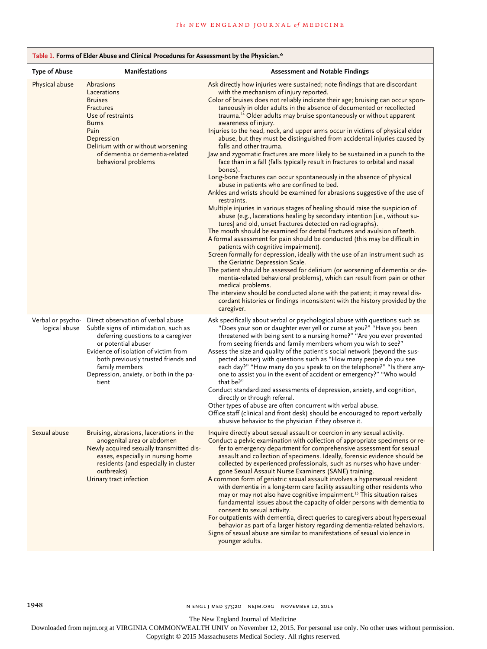| Table 1. Forms of Elder Abuse and Clinical Procedures for Assessment by the Physician.* |                                                                                                                                                                                                                                                                                               |                                                                                                                                                                                                                                                                                                                                                                                                                                                                                                                                                                                                                                                                                                                                                                                                                                                                                                                                                                                                                                                                                                                                                                                                                                                                                                                                                                                                                                                                                                                                                                                                                                                                                                                                                                                                                                                                                                        |  |  |
|-----------------------------------------------------------------------------------------|-----------------------------------------------------------------------------------------------------------------------------------------------------------------------------------------------------------------------------------------------------------------------------------------------|--------------------------------------------------------------------------------------------------------------------------------------------------------------------------------------------------------------------------------------------------------------------------------------------------------------------------------------------------------------------------------------------------------------------------------------------------------------------------------------------------------------------------------------------------------------------------------------------------------------------------------------------------------------------------------------------------------------------------------------------------------------------------------------------------------------------------------------------------------------------------------------------------------------------------------------------------------------------------------------------------------------------------------------------------------------------------------------------------------------------------------------------------------------------------------------------------------------------------------------------------------------------------------------------------------------------------------------------------------------------------------------------------------------------------------------------------------------------------------------------------------------------------------------------------------------------------------------------------------------------------------------------------------------------------------------------------------------------------------------------------------------------------------------------------------------------------------------------------------------------------------------------------------|--|--|
| <b>Type of Abuse</b>                                                                    | <b>Manifestations</b>                                                                                                                                                                                                                                                                         | <b>Assessment and Notable Findings</b>                                                                                                                                                                                                                                                                                                                                                                                                                                                                                                                                                                                                                                                                                                                                                                                                                                                                                                                                                                                                                                                                                                                                                                                                                                                                                                                                                                                                                                                                                                                                                                                                                                                                                                                                                                                                                                                                 |  |  |
| Physical abuse                                                                          | Abrasions<br>Lacerations<br><b>Bruises</b><br><b>Fractures</b><br>Use of restraints<br><b>Burns</b><br>Pain<br>Depression<br>Delirium with or without worsening<br>of dementia or dementia-related<br>behavioral problems                                                                     | Ask directly how injuries were sustained; note findings that are discordant<br>with the mechanism of injury reported.<br>Color of bruises does not reliably indicate their age; bruising can occur spon-<br>taneously in older adults in the absence of documented or recollected<br>trauma. <sup>14</sup> Older adults may bruise spontaneously or without apparent<br>awareness of injury.<br>Injuries to the head, neck, and upper arms occur in victims of physical elder<br>abuse, but they must be distinguished from accidental injuries caused by<br>falls and other trauma.<br>Jaw and zygomatic fractures are more likely to be sustained in a punch to the<br>face than in a fall (falls typically result in fractures to orbital and nasal<br>bones).<br>Long-bone fractures can occur spontaneously in the absence of physical<br>abuse in patients who are confined to bed.<br>Ankles and wrists should be examined for abrasions suggestive of the use of<br>restraints.<br>Multiple injuries in various stages of healing should raise the suspicion of<br>abuse (e.g., lacerations healing by secondary intention [i.e., without su-<br>tures] and old, unset fractures detected on radiographs).<br>The mouth should be examined for dental fractures and avulsion of teeth.<br>A formal assessment for pain should be conducted (this may be difficult in<br>patients with cognitive impairment).<br>Screen formally for depression, ideally with the use of an instrument such as<br>the Geriatric Depression Scale.<br>The patient should be assessed for delirium (or worsening of dementia or de-<br>mentia-related behavioral problems), which can result from pain or other<br>medical problems.<br>The interview should be conducted alone with the patient; it may reveal dis-<br>cordant histories or findings inconsistent with the history provided by the<br>caregiver. |  |  |
| Verbal or psycho-<br>logical abuse                                                      | Direct observation of verbal abuse<br>Subtle signs of intimidation, such as<br>deferring questions to a caregiver<br>or potential abuser<br>Evidence of isolation of victim from<br>both previously trusted friends and<br>family members<br>Depression, anxiety, or both in the pa-<br>tient | Ask specifically about verbal or psychological abuse with questions such as<br>"Does your son or daughter ever yell or curse at you?" "Have you been<br>threatened with being sent to a nursing home?" "Are you ever prevented<br>from seeing friends and family members whom you wish to see?"<br>Assess the size and quality of the patient's social network (beyond the sus-<br>pected abuser) with questions such as "How many people do you see<br>each day?" "How many do you speak to on the telephone?" "Is there any-<br>one to assist you in the event of accident or emergency?" "Who would<br>that be?"<br>Conduct standardized assessments of depression, anxiety, and cognition,<br>directly or through referral.<br>Other types of abuse are often concurrent with verbal abuse.<br>Office staff (clinical and front desk) should be encouraged to report verbally<br>abusive behavior to the physician if they observe it.                                                                                                                                                                                                                                                                                                                                                                                                                                                                                                                                                                                                                                                                                                                                                                                                                                                                                                                                                             |  |  |
| Sexual abuse                                                                            | Bruising, abrasions, lacerations in the<br>anogenital area or abdomen<br>Newly acquired sexually transmitted dis-<br>eases, especially in nursing home<br>residents (and especially in cluster<br>outbreaks)<br>Urinary tract infection                                                       | Inquire directly about sexual assault or coercion in any sexual activity.<br>Conduct a pelvic examination with collection of appropriate specimens or re-<br>fer to emergency department for comprehensive assessment for sexual<br>assault and collection of specimens. Ideally, forensic evidence should be<br>collected by experienced professionals, such as nurses who have under-<br>gone Sexual Assault Nurse Examiners (SANE) training.<br>A common form of geriatric sexual assault involves a hypersexual resident<br>with dementia in a long-term care facility assaulting other residents who<br>may or may not also have cognitive impairment. <sup>15</sup> This situation raises<br>fundamental issues about the capacity of older persons with dementia to<br>consent to sexual activity.<br>For outpatients with dementia, direct queries to caregivers about hypersexual<br>behavior as part of a larger history regarding dementia-related behaviors.<br>Signs of sexual abuse are similar to manifestations of sexual violence in<br>younger adults.                                                                                                                                                                                                                                                                                                                                                                                                                                                                                                                                                                                                                                                                                                                                                                                                                               |  |  |

1948 **n ENGL J MED 373;20 NEJM.ORG NOVEMBER 12, 2015** 

The New England Journal of Medicine

Downloaded from nejm.org at VIRGINIA COMMONWEALTH UNIV on November 12, 2015. For personal use only. No other uses without permission.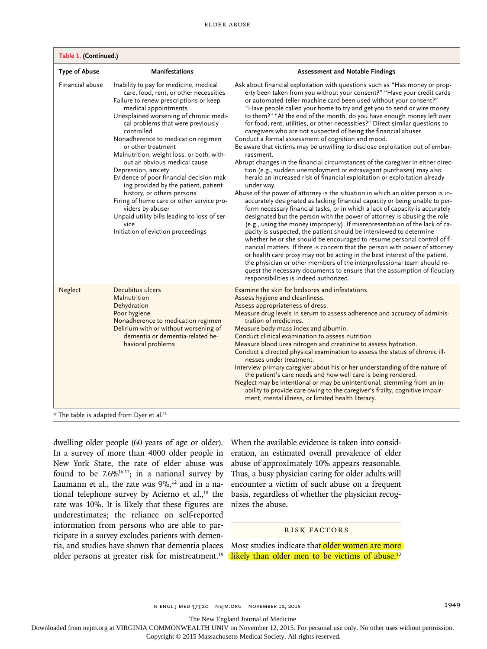| Table 1. (Continued.)                             |                                                                                                                                                                                                                                                                                                                                                                                                                                                                                                                                                                                                                                                                                                  |                                                                                                                                                                                                                                                                                                                                                                                                                                                                                                                                                                                                                                                                                                                                                                                                                                                                                                                                                                                                                                                                                                                                                                                                                                                                                                                                                                                                                                                                                                                                                                                                                                                                                                                                                                                                                                                                             |  |  |
|---------------------------------------------------|--------------------------------------------------------------------------------------------------------------------------------------------------------------------------------------------------------------------------------------------------------------------------------------------------------------------------------------------------------------------------------------------------------------------------------------------------------------------------------------------------------------------------------------------------------------------------------------------------------------------------------------------------------------------------------------------------|-----------------------------------------------------------------------------------------------------------------------------------------------------------------------------------------------------------------------------------------------------------------------------------------------------------------------------------------------------------------------------------------------------------------------------------------------------------------------------------------------------------------------------------------------------------------------------------------------------------------------------------------------------------------------------------------------------------------------------------------------------------------------------------------------------------------------------------------------------------------------------------------------------------------------------------------------------------------------------------------------------------------------------------------------------------------------------------------------------------------------------------------------------------------------------------------------------------------------------------------------------------------------------------------------------------------------------------------------------------------------------------------------------------------------------------------------------------------------------------------------------------------------------------------------------------------------------------------------------------------------------------------------------------------------------------------------------------------------------------------------------------------------------------------------------------------------------------------------------------------------------|--|--|
| <b>Type of Abuse</b>                              | <b>Manifestations</b>                                                                                                                                                                                                                                                                                                                                                                                                                                                                                                                                                                                                                                                                            | <b>Assessment and Notable Findings</b>                                                                                                                                                                                                                                                                                                                                                                                                                                                                                                                                                                                                                                                                                                                                                                                                                                                                                                                                                                                                                                                                                                                                                                                                                                                                                                                                                                                                                                                                                                                                                                                                                                                                                                                                                                                                                                      |  |  |
| Financial abuse                                   | Inability to pay for medicine, medical<br>care, food, rent, or other necessities<br>Failure to renew prescriptions or keep<br>medical appointments<br>Unexplained worsening of chronic medi-<br>cal problems that were previously<br>controlled<br>Nonadherence to medication regimen<br>or other treatment<br>Malnutrition, weight loss, or both, with-<br>out an obvious medical cause<br>Depression, anxiety<br>Evidence of poor financial decision mak-<br>ing provided by the patient, patient<br>history, or others persons<br>Firing of home care or other service pro-<br>viders by abuser<br>Unpaid utility bills leading to loss of ser-<br>vice<br>Initiation of eviction proceedings | Ask about financial exploitation with questions such as "Has money or prop-<br>erty been taken from you without your consent?" "Have your credit cards<br>or automated-teller-machine card been used without your consent?"<br>"Have people called your home to try and get you to send or wire money<br>to them?" "At the end of the month, do you have enough money left over<br>for food, rent, utilities, or other necessities?" Direct similar questions to<br>caregivers who are not suspected of being the financial abuser.<br>Conduct a formal assessment of cognition and mood.<br>Be aware that victims may be unwilling to disclose exploitation out of embar-<br>rassment.<br>Abrupt changes in the financial circumstances of the caregiver in either direc-<br>tion (e.g., sudden unemployment or extravagant purchases) may also<br>herald an increased risk of financial exploitation or exploitation already<br>under way.<br>Abuse of the power of attorney is the situation in which an older person is in-<br>accurately designated as lacking financial capacity or being unable to per-<br>form necessary financial tasks, or in which a lack of capacity is accurately<br>designated but the person with the power of attorney is abusing the role<br>(e.g., using the money improperly). If misrepresentation of the lack of ca-<br>pacity is suspected, the patient should be interviewed to determine<br>whether he or she should be encouraged to resume personal control of fi-<br>nancial matters. If there is concern that the person with power of attorney<br>or health care proxy may not be acting in the best interest of the patient,<br>the physician or other members of the interprofessional team should re-<br>quest the necessary documents to ensure that the assumption of fiduciary<br>responsibilities is indeed authorized. |  |  |
| Neglect                                           | Decubitus ulcers<br>Malnutrition<br>Dehydration<br>Poor hygiene<br>Nonadherence to medication regimen<br>Delirium with or without worsening of<br>dementia or dementia-related be-<br>havioral problems                                                                                                                                                                                                                                                                                                                                                                                                                                                                                          | Examine the skin for bedsores and infestations.<br>Assess hygiene and cleanliness.<br>Assess appropriateness of dress.<br>Measure drug levels in serum to assess adherence and accuracy of adminis-<br>tration of medicines.<br>Measure body-mass index and albumin.<br>Conduct clinical examination to assess nutrition.<br>Measure blood urea nitrogen and creatinine to assess hydration.<br>Conduct a directed physical examination to assess the status of chronic ill-<br>nesses under treatment.<br>Interview primary caregiver about his or her understanding of the nature of<br>the patient's care needs and how well care is being rendered.<br>Neglect may be intentional or may be unintentional, stemming from an in-<br>ability to provide care owing to the caregiver's frailty, cognitive impair-<br>ment, mental illness, or limited health literacy.                                                                                                                                                                                                                                                                                                                                                                                                                                                                                                                                                                                                                                                                                                                                                                                                                                                                                                                                                                                                     |  |  |
| $*$ The table is adapted from Dyer et al. $^{13}$ |                                                                                                                                                                                                                                                                                                                                                                                                                                                                                                                                                                                                                                                                                                  |                                                                                                                                                                                                                                                                                                                                                                                                                                                                                                                                                                                                                                                                                                                                                                                                                                                                                                                                                                                                                                                                                                                                                                                                                                                                                                                                                                                                                                                                                                                                                                                                                                                                                                                                                                                                                                                                             |  |  |

dwelling older people (60 years of age or older). In a survey of more than 4000 older people in New York State, the rate of elder abuse was found to be  $7.6\%$ <sup>16,17</sup>; in a national survey by Laumann et al., the rate was  $9\%$ ,<sup>12</sup> and in a national telephone survey by Acierno et  $al.^{18}$  the rate was 10%. It is likely that these figures are underestimates; the reliance on self-reported information from persons who are able to participate in a survey excludes patients with dementia, and studies have shown that dementia places  $\,$  Most studies indicate that  $older$  women are more  $\,$ older persons at greater risk for mistreatment.<sup>19</sup> (likely than older men to be victims of abuse.<sup>12</sup>

When the available evidence is taken into consideration, an estimated overall prevalence of elder abuse of approximately 10% appears reasonable. Thus, a busy physician caring for older adults will encounter a victim of such abuse on a frequent basis, regardless of whether the physician recognizes the abuse.

#### Risk Factors

The New England Journal of Medicine

Downloaded from nejm.org at VIRGINIA COMMONWEALTH UNIV on November 12, 2015. For personal use only. No other uses without permission.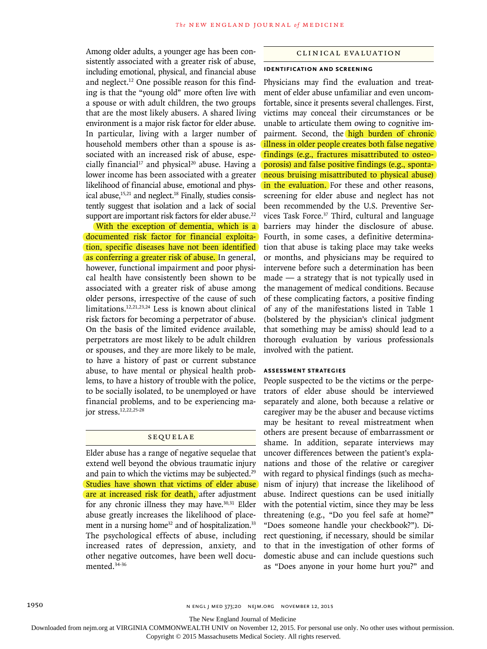Among older adults, a younger age has been consistently associated with a greater risk of abuse, including emotional, physical, and financial abuse and neglect.12 One possible reason for this finding is that the "young old" more often live with a spouse or with adult children, the two groups that are the most likely abusers. A shared living environment is a major risk factor for elder abuse. In particular, living with a larger number of household members other than a spouse is associated with an increased risk of abuse, especially financial<sup>17</sup> and physical<sup>20</sup> abuse. Having a lower income has been associated with a greater likelihood of financial abuse, emotional and physical abuse,<sup>15,21</sup> and neglect.<sup>18</sup> Finally, studies consistently suggest that isolation and a lack of social support are important risk factors for elder abuse.<sup>22</sup>

With the exception of dementia, which is a documented risk factor for financial exploitation, specific diseases have not been identified as conferring a greater risk of abuse. In general, however, functional impairment and poor physical health have consistently been shown to be associated with a greater risk of abuse among older persons, irrespective of the cause of such limitations.12,21,23,24 Less is known about clinical risk factors for becoming a perpetrator of abuse. On the basis of the limited evidence available, perpetrators are most likely to be adult children or spouses, and they are more likely to be male, to have a history of past or current substance abuse, to have mental or physical health problems, to have a history of trouble with the police, to be socially isolated, to be unemployed or have financial problems, and to be experiencing major stress.12,22,25-28

#### Sequelae

Elder abuse has a range of negative sequelae that extend well beyond the obvious traumatic injury and pain to which the victims may be subjected.<sup>29</sup> Studies have shown that victims of elder abuse are at increased risk for death, after adjustment for any chronic illness they may have.<sup>30,31</sup> Elder abuse greatly increases the likelihood of placement in a nursing home<sup>32</sup> and of hospitalization.<sup>33</sup> The psychological effects of abuse, including increased rates of depression, anxiety, and other negative outcomes, have been well documented.34-36

#### Clinical Evaluation

# **Identification and Screening**

Physicians may find the evaluation and treatment of elder abuse unfamiliar and even uncomfortable, since it presents several challenges. First, victims may conceal their circumstances or be unable to articulate them owing to cognitive impairment. Second, the high burden of chronic illness in older people creates both false negative findings (e.g., fractures misattributed to osteoporosis) and false positive findings (e.g., spontaneous bruising misattributed to physical abuse) in the evaluation. For these and other reasons, screening for elder abuse and neglect has not been recommended by the U.S. Preventive Services Task Force.<sup>37</sup> Third, cultural and language barriers may hinder the disclosure of abuse. Fourth, in some cases, a definitive determination that abuse is taking place may take weeks or months, and physicians may be required to intervene before such a determination has been made — a strategy that is not typically used in the management of medical conditions. Because of these complicating factors, a positive finding of any of the manifestations listed in Table 1 (bolstered by the physician's clinical judgment that something may be amiss) should lead to a thorough evaluation by various professionals involved with the patient.

#### **Assessment Strategies**

People suspected to be the victims or the perpetrators of elder abuse should be interviewed separately and alone, both because a relative or caregiver may be the abuser and because victims may be hesitant to reveal mistreatment when others are present because of embarrassment or shame. In addition, separate interviews may uncover differences between the patient's explanations and those of the relative or caregiver with regard to physical findings (such as mechanism of injury) that increase the likelihood of abuse. Indirect questions can be used initially with the potential victim, since they may be less threatening (e.g., "Do you feel safe at home?" "Does someone handle your checkbook?"). Direct questioning, if necessary, should be similar to that in the investigation of other forms of domestic abuse and can include questions such as "Does anyone in your home hurt you?" and

The New England Journal of Medicine

Downloaded from nejm.org at VIRGINIA COMMONWEALTH UNIV on November 12, 2015. For personal use only. No other uses without permission.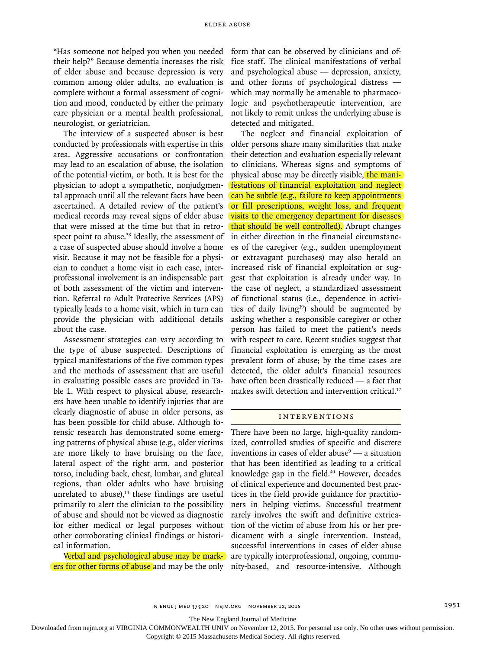"Has someone not helped you when you needed their help?" Because dementia increases the risk of elder abuse and because depression is very common among older adults, no evaluation is complete without a formal assessment of cognition and mood, conducted by either the primary care physician or a mental health professional, neurologist, or geriatrician.

The interview of a suspected abuser is best conducted by professionals with expertise in this area. Aggressive accusations or confrontation may lead to an escalation of abuse, the isolation of the potential victim, or both. It is best for the physician to adopt a sympathetic, nonjudgmental approach until all the relevant facts have been ascertained. A detailed review of the patient's medical records may reveal signs of elder abuse that were missed at the time but that in retrospect point to abuse.<sup>38</sup> Ideally, the assessment of a case of suspected abuse should involve a home visit. Because it may not be feasible for a physician to conduct a home visit in each case, interprofessional involvement is an indispensable part of both assessment of the victim and intervention. Referral to Adult Protective Services (APS) typically leads to a home visit, which in turn can provide the physician with additional details about the case.

Assessment strategies can vary according to the type of abuse suspected. Descriptions of typical manifestations of the five common types and the methods of assessment that are useful in evaluating possible cases are provided in Table 1. With respect to physical abuse, researchers have been unable to identify injuries that are clearly diagnostic of abuse in older persons, as has been possible for child abuse. Although forensic research has demonstrated some emerging patterns of physical abuse (e.g., older victims are more likely to have bruising on the face, lateral aspect of the right arm, and posterior torso, including back, chest, lumbar, and gluteal regions, than older adults who have bruising unrelated to abuse), $14$  these findings are useful primarily to alert the clinician to the possibility of abuse and should not be viewed as diagnostic for either medical or legal purposes without other corroborating clinical findings or historical information.

Verbal and psychological abuse may be markers for other forms of abuse and may be the only nity-based, and resource-intensive. Although

form that can be observed by clinicians and office staff. The clinical manifestations of verbal and psychological abuse — depression, anxiety, and other forms of psychological distress which may normally be amenable to pharmacologic and psychotherapeutic intervention, are not likely to remit unless the underlying abuse is detected and mitigated.

The neglect and financial exploitation of older persons share many similarities that make their detection and evaluation especially relevant to clinicians. Whereas signs and symptoms of physical abuse may be directly visible, the manifestations of financial exploitation and neglect can be subtle (e.g., failure to keep appointments or fill prescriptions, weight loss, and frequent visits to the emergency department for diseases that should be well controlled). Abrupt changes in either direction in the financial circumstances of the caregiver (e.g., sudden unemployment or extravagant purchases) may also herald an increased risk of financial exploitation or suggest that exploitation is already under way. In the case of neglect, a standardized assessment of functional status (i.e., dependence in activities of daily living<sup>39</sup>) should be augmented by asking whether a responsible caregiver or other person has failed to meet the patient's needs with respect to care. Recent studies suggest that financial exploitation is emerging as the most prevalent form of abuse; by the time cases are detected, the older adult's financial resources have often been drastically reduced — a fact that makes swift detection and intervention critical.<sup>17</sup>

## **INTERVENTIONS**

There have been no large, high-quality randomized, controlled studies of specific and discrete inventions in cases of elder abuse $9 - a$  situation that has been identified as leading to a critical knowledge gap in the field.<sup>40</sup> However, decades of clinical experience and documented best practices in the field provide guidance for practitioners in helping victims. Successful treatment rarely involves the swift and definitive extrication of the victim of abuse from his or her predicament with a single intervention. Instead, successful interventions in cases of elder abuse are typically interprofessional, ongoing, commu-

The New England Journal of Medicine

Downloaded from nejm.org at VIRGINIA COMMONWEALTH UNIV on November 12, 2015. For personal use only. No other uses without permission.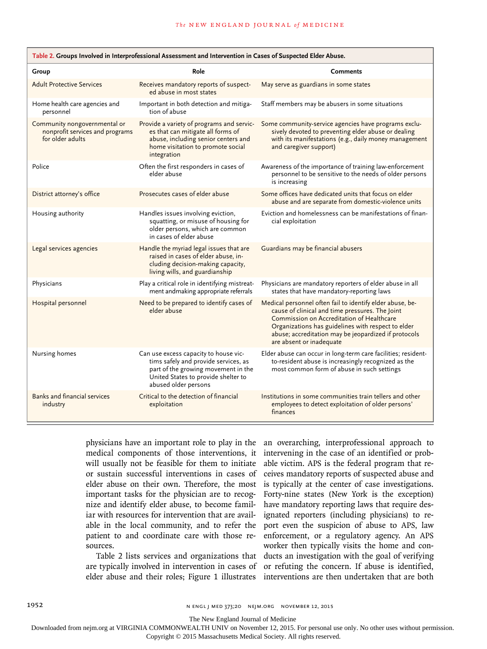| Table 2. Groups Involved in Interprofessional Assessment and Intervention in Cases of Suspected Elder Abuse. |                                                                                                                                                                                     |                                                                                                                                                                                                                                                                                                     |  |  |  |
|--------------------------------------------------------------------------------------------------------------|-------------------------------------------------------------------------------------------------------------------------------------------------------------------------------------|-----------------------------------------------------------------------------------------------------------------------------------------------------------------------------------------------------------------------------------------------------------------------------------------------------|--|--|--|
| Group                                                                                                        | Role                                                                                                                                                                                | <b>Comments</b>                                                                                                                                                                                                                                                                                     |  |  |  |
| <b>Adult Protective Services</b>                                                                             | Receives mandatory reports of suspect-<br>ed abuse in most states                                                                                                                   | May serve as guardians in some states                                                                                                                                                                                                                                                               |  |  |  |
| Home health care agencies and<br>personnel                                                                   | Important in both detection and mitiga-<br>tion of abuse                                                                                                                            | Staff members may be abusers in some situations                                                                                                                                                                                                                                                     |  |  |  |
| Community nongovernmental or<br>nonprofit services and programs<br>for older adults                          | Provide a variety of programs and servic-<br>es that can mitigate all forms of<br>abuse, including senior centers and<br>home visitation to promote social<br>integration           | Some community-service agencies have programs exclu-<br>sively devoted to preventing elder abuse or dealing<br>with its manifestations (e.g., daily money management<br>and caregiver support)                                                                                                      |  |  |  |
| Police                                                                                                       | Often the first responders in cases of<br>elder abuse                                                                                                                               | Awareness of the importance of training law-enforcement<br>personnel to be sensitive to the needs of older persons<br>is increasing                                                                                                                                                                 |  |  |  |
| District attorney's office                                                                                   | Prosecutes cases of elder abuse                                                                                                                                                     | Some offices have dedicated units that focus on elder<br>abuse and are separate from domestic-violence units                                                                                                                                                                                        |  |  |  |
| Housing authority                                                                                            | Handles issues involving eviction,<br>squatting, or misuse of housing for<br>older persons, which are common<br>in cases of elder abuse                                             | Eviction and homelessness can be manifestations of finan-<br>cial exploitation                                                                                                                                                                                                                      |  |  |  |
| Legal services agencies                                                                                      | Handle the myriad legal issues that are<br>raised in cases of elder abuse, in-<br>cluding decision-making capacity,<br>living wills, and guardianship                               | Guardians may be financial abusers                                                                                                                                                                                                                                                                  |  |  |  |
| Physicians                                                                                                   | Play a critical role in identifying mistreat-<br>ment andmaking appropriate referrals                                                                                               | Physicians are mandatory reporters of elder abuse in all<br>states that have mandatory-reporting laws                                                                                                                                                                                               |  |  |  |
| Hospital personnel                                                                                           | Need to be prepared to identify cases of<br>elder abuse                                                                                                                             | Medical personnel often fail to identify elder abuse, be-<br>cause of clinical and time pressures. The Joint<br>Commission on Accreditation of Healthcare<br>Organizations has guidelines with respect to elder<br>abuse; accreditation may be jeopardized if protocols<br>are absent or inadequate |  |  |  |
| Nursing homes                                                                                                | Can use excess capacity to house vic-<br>tims safely and provide services, as<br>part of the growing movement in the<br>United States to provide shelter to<br>abused older persons | Elder abuse can occur in long-term care facilities; resident-<br>to-resident abuse is increasingly recognized as the<br>most common form of abuse in such settings                                                                                                                                  |  |  |  |
| Banks and financial services<br>industry                                                                     | Critical to the detection of financial<br>exploitation                                                                                                                              | Institutions in some communities train tellers and other<br>employees to detect exploitation of older persons'<br>finances                                                                                                                                                                          |  |  |  |

medical components of those interventions, it will usually not be feasible for them to initiate or sustain successful interventions in cases of elder abuse on their own. Therefore, the most important tasks for the physician are to recognize and identify elder abuse, to become familiar with resources for intervention that are available in the local community, and to refer the patient to and coordinate care with those resources.

physicians have an important role to play in the an overarching, interprofessional approach to Table 2 lists services and organizations that ducts an investigation with the goal of verifying are typically involved in intervention in cases of or refuting the concern. If abuse is identified, elder abuse and their roles; Figure 1 illustrates interventions are then undertaken that are both intervening in the case of an identified or probable victim. APS is the federal program that receives mandatory reports of suspected abuse and is typically at the center of case investigations. Forty-nine states (New York is the exception) have mandatory reporting laws that require designated reporters (including physicians) to report even the suspicion of abuse to APS, law enforcement, or a regulatory agency. An APS worker then typically visits the home and con-

The New England Journal of Medicine

Downloaded from nejm.org at VIRGINIA COMMONWEALTH UNIV on November 12, 2015. For personal use only. No other uses without permission.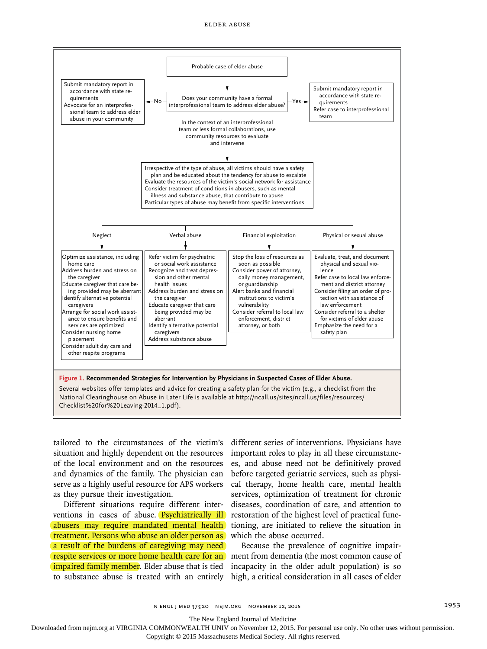

situation and highly dependent on the resources important roles to play in all these circumstancof the local environment and on the resources and dynamics of the family. The physician can serve as a highly useful resource for APS workers as they pursue their investigation.

Different situations require different interventions in cases of abuse. <mark>(Psychiatrically ill</mark>) restoration of the highest level of practical funcabusers may require mandated mental health) tioning, are initiated to relieve the situation in treatment. Persons who abuse an older person as which the abuse occurred. a result of the burdens of caregiving may need respite services or more home health care for an ment from dementia (the most common cause of impaired family member. Elder abuse that is tied incapacity in the older adult population) is so to substance abuse is treated with an entirely high, a critical consideration in all cases of elder

tailored to the circumstances of the victim's different series of interventions. Physicians have es, and abuse need not be definitively proved before targeted geriatric services, such as physical therapy, home health care, mental health services, optimization of treatment for chronic diseases, coordination of care, and attention to

Because the prevalence of cognitive impair-

n engl j med 373;20 nejm.org November 12, 2015 1953

The New England Journal of Medicine

Downloaded from nejm.org at VIRGINIA COMMONWEALTH UNIV on November 12, 2015. For personal use only. No other uses without permission.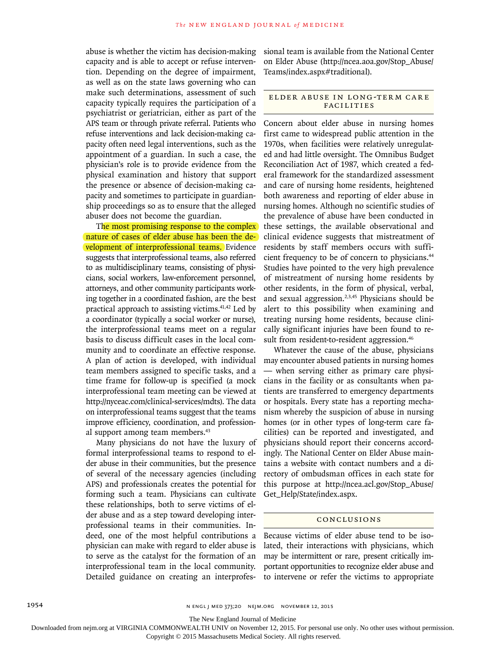abuse is whether the victim has decision-making capacity and is able to accept or refuse intervention. Depending on the degree of impairment, as well as on the state laws governing who can make such determinations, assessment of such capacity typically requires the participation of a psychiatrist or geriatrician, either as part of the APS team or through private referral. Patients who refuse interventions and lack decision-making capacity often need legal interventions, such as the appointment of a guardian. In such a case, the physician's role is to provide evidence from the physical examination and history that support the presence or absence of decision-making capacity and sometimes to participate in guardianship proceedings so as to ensure that the alleged abuser does not become the guardian.

The most promising response to the complex nature of cases of elder abuse has been the development of interprofessional teams. Evidence suggests that interprofessional teams, also referred to as multidisciplinary teams, consisting of physicians, social workers, law-enforcement personnel, attorneys, and other community participants working together in a coordinated fashion, are the best practical approach to assisting victims.<sup>41,42</sup> Led by a coordinator (typically a social worker or nurse), the interprofessional teams meet on a regular basis to discuss difficult cases in the local community and to coordinate an effective response. A plan of action is developed, with individual team members assigned to specific tasks, and a time frame for follow-up is specified (a mock interprofessional team meeting can be viewed at http://nyceac.com/clinical-services/mdts). The data on interprofessional teams suggest that the teams improve efficiency, coordination, and professional support among team members.43

Many physicians do not have the luxury of formal interprofessional teams to respond to elder abuse in their communities, but the presence of several of the necessary agencies (including APS) and professionals creates the potential for forming such a team. Physicians can cultivate these relationships, both to serve victims of elder abuse and as a step toward developing interprofessional teams in their communities. Indeed, one of the most helpful contributions a physician can make with regard to elder abuse is to serve as the catalyst for the formation of an interprofessional team in the local community. Detailed guidance on creating an interprofessional team is available from the National Center on Elder Abuse (http://ncea.aoa.gov/Stop\_Abuse/ Teams/index.aspx#traditional).

#### ELDER ABUSE IN LONG-TERM CARE Facilities

Concern about elder abuse in nursing homes first came to widespread public attention in the 1970s, when facilities were relatively unregulated and had little oversight. The Omnibus Budget Reconciliation Act of 1987, which created a federal framework for the standardized assessment and care of nursing home residents, heightened both awareness and reporting of elder abuse in nursing homes. Although no scientific studies of the prevalence of abuse have been conducted in these settings, the available observational and clinical evidence suggests that mistreatment of residents by staff members occurs with sufficient frequency to be of concern to physicians.44 Studies have pointed to the very high prevalence of mistreatment of nursing home residents by other residents, in the form of physical, verbal, and sexual aggression.2,3,45 Physicians should be alert to this possibility when examining and treating nursing home residents, because clinically significant injuries have been found to result from resident-to-resident aggression.<sup>46</sup>

Whatever the cause of the abuse, physicians may encounter abused patients in nursing homes — when serving either as primary care physicians in the facility or as consultants when patients are transferred to emergency departments or hospitals. Every state has a reporting mechanism whereby the suspicion of abuse in nursing homes (or in other types of long-term care facilities) can be reported and investigated, and physicians should report their concerns accordingly. The National Center on Elder Abuse maintains a website with contact numbers and a directory of ombudsman offices in each state for this purpose at http://ncea.acl.gov/Stop\_Abuse/ Get\_Help/State/index.aspx.

#### Conclusions

Because victims of elder abuse tend to be isolated, their interactions with physicians, which may be intermittent or rare, present critically important opportunities to recognize elder abuse and to intervene or refer the victims to appropriate

The New England Journal of Medicine

Downloaded from nejm.org at VIRGINIA COMMONWEALTH UNIV on November 12, 2015. For personal use only. No other uses without permission.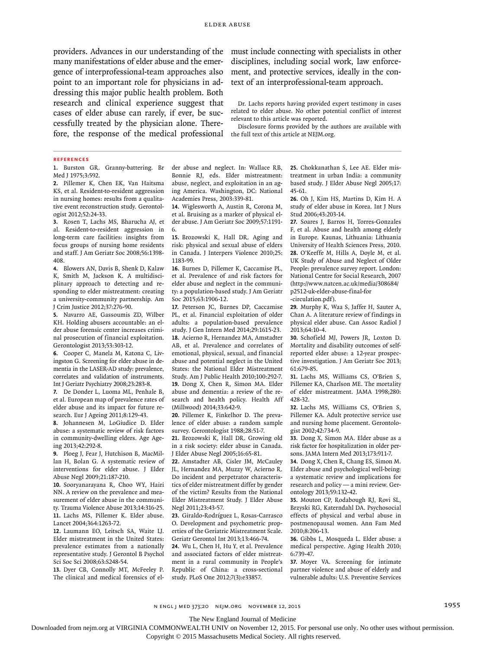providers. Advances in our understanding of the must include connecting with specialists in other many manifestations of elder abuse and the emergence of interprofessional-team approaches also point to an important role for physicians in addressing this major public health problem. Both research and clinical experience suggest that cases of elder abuse can rarely, if ever, be successfully treated by the physician alone. Therefore, the response of the medical professional the full text of this article at NEJM.org.

disciplines, including social work, law enforcement, and protective services, ideally in the context of an interprofessional-team approach.

Dr. Lachs reports having provided expert testimony in cases related to elder abuse. No other potential conflict of interest relevant to this article was reported.

Disclosure forms provided by the authors are available with

#### **References**

**1.** Burston GR. Granny-battering. Br Med J 1975;3:592.

**2.** Pillemer K, Chen EK, Van Haitsma KS, et al. Resident-to-resident aggression in nursing homes: results from a qualitative event reconstruction study. Gerontologist 2012;52:24-33.

**3.** Rosen T, Lachs MS, Bharucha AJ, et al. Resident-to-resident aggression in long-term care facilities: insights from focus groups of nursing home residents and staff. J Am Geriatr Soc 2008;56:1398- 408.

**4.** Blowers AN, Davis B, Shenk D, Kalaw K, Smith M, Jackson K. A multidisciplinary approach to detecting and responding to elder mistreatment: creating a university-community partnership. Am J Crim Justice 2012;37:276-90.

**5.** Navarro AE, Gassoumis ZD, Wilber KH. Holding abusers accountable: an elder abuse forensic center increases criminal prosecution of financial exploitation. Gerontologist 2013;53:303-12.

**6.** Cooper C, Manela M, Katona C, Livingston G. Screening for elder abuse in dementia in the LASER-AD study: prevalence, correlates and validation of instruments. Int J Geriatr Psychiatry 2008;23:283-8.

**7.** De Donder L, Luoma ML, Penhale B, et al. European map of prevalence rates of elder abuse and its impact for future research. Eur J Ageing 2011;8:129-43.

**8.** Johannesen M, LoGiudice D. Elder abuse: a systematic review of risk factors in community-dwelling elders. Age Ageing 2013;42:292-8.

**9.** Ploeg J, Fear J, Hutchison B, MacMillan H, Bolan G. A systematic review of interventions for elder abuse. J Elder Abuse Negl 2009;21:187-210.

**10.** Sooryanarayana R, Choo WY, Hairi NN. A review on the prevalence and measurement of elder abuse in the community. Trauma Violence Abuse 2013;14:316-25. **11.** Lachs MS, Pillemer K. Elder abuse. Lancet 2004;364:1263-72.

**12.** Laumann EO, Leitsch SA, Waite LJ. Elder mistreatment in the United States: prevalence estimates from a nationally representative study. J Gerontol B Psychol Sci Soc Sci 2008;63:S248-54.

**13.** Dyer CB, Connolly MT, McFeeley P. The clinical and medical forensics of elder abuse and neglect. In: Wallace RB, Bonnie RJ, eds. Elder mistreatment: abuse, neglect, and exploitation in an aging America. Washington, DC: National Academies Press, 2003:339-81.

**14.** Wiglesworth A, Austin R, Corona M, et al. Bruising as a marker of physical elder abuse. J Am Geriatr Soc 2009;57:1191- 6.

**15.** Brozowski K, Hall DR. Aging and risk: physical and sexual abuse of elders in Canada. J Interpers Violence 2010;25: 1183-99.

**16.** Burnes D, Pillemer K, Caccamise PL, et al. Prevalence of and risk factors for elder abuse and neglect in the community: a population-based study. J Am Geriatr Soc 2015;63:1906-12.

**17.** Peterson JC, Burnes DP, Caccamise PL, et al. Financial exploitation of older adults: a population-based prevalence study. J Gen Intern Med 2014;29:1615-23. **18.** Acierno R, Hernandez MA, Amstadter AB, et al. Prevalence and correlates of emotional, physical, sexual, and financial abuse and potential neglect in the United States: the National Elder Mistreatment Study. Am J Public Health 2010;100:292-7. **19.** Dong X, Chen R, Simon MA. Elder abuse and dementia: a review of the research and health policy. Health Aff (Millwood) 2014;33:642-9.

**20.** Pillemer K, Finkelhor D. The prevalence of elder abuse: a random sample survey. Gerontologist 1988;28:51-7.

**21.** Brozowski K, Hall DR. Growing old in a risk society: elder abuse in Canada. J Elder Abuse Negl 2005;16:65-81.

**22.** Amstadter AB, Cisler JM, McCauley JL, Hernandez MA, Muzzy W, Acierno R. Do incident and perpetrator characteristics of elder mistreatment differ by gender of the victim? Results from the National Elder Mistreatment Study. J Elder Abuse Negl 2011;23:43-57.

**23.** Giraldo-Rodríguez L, Rosas-Carrasco O. Development and psychometric properties of the Geriatric Mistreatment Scale. Geriatr Gerontol Int 2013;13:466-74.

**24.** Wu L, Chen H, Hu Y, et al. Prevalence and associated factors of elder mistreatment in a rural community in People's Republic of China: a cross-sectional study. PLoS One 2012;7(3):e33857.

**25.** Chokkanathan S, Lee AE. Elder mistreatment in urban India: a community based study. J Elder Abuse Negl 2005;17: 45-61.

**26.** Oh J, Kim HS, Martins D, Kim H. A study of elder abuse in Korea. Int J Nurs Stud 2006;43:203-14.

**27.** Soares J, Barros H, Torres-Gonzales F, et al. Abuse and health among elderly in Europe. Kaunas, Lithuania: Lithuania University of Health Sciences Press, 2010. **28.** O'Keeffe M, Hills A, Doyle M, et al. UK Study of Abuse and Neglect of Older People: prevalence survey report. London: National Centre for Social Research, 2007 (http://www.natcen.ac.uk/media/308684/ p2512-uk-elder-abuse-final-for

-circulation.pdf).

**29.** Murphy K, Waa S, Jaffer H, Sauter A, Chan A. A literature review of findings in physical elder abuse. Can Assoc Radiol J 2013;64:10-4.

**30.** Schofield MJ, Powers JR, Loxton D. Mortality and disability outcomes of selfreported elder abuse: a 12-year prospective investigation. J Am Geriatr Soc 2013; 61:679-85.

**31.** Lachs MS, Williams CS, O'Brien S, Pillemer KA, Charlson ME. The mortality of elder mistreatment. JAMA 1998;280: 428-32.

**32.** Lachs MS, Williams CS, O'Brien S, Pillemer KA. Adult protective service use and nursing home placement. Gerontologist 2002;42:734-9.

**33.** Dong X, Simon MA. Elder abuse as a risk factor for hospitalization in older persons. JAMA Intern Med 2013;173:911-7.

**34.** Dong X, Chen R, Chang ES, Simon M. Elder abuse and psychological well-being: a systematic review and implications for research and policy — a mini review. Gerontology 2013;59:132-42.

**35.** Mouton CP, Rodabough RJ, Rovi SL, Brzyski RG, Katerndahl DA. Psychosocial effects of physical and verbal abuse in postmenopausal women. Ann Fam Med 2010;8:206-13.

**36.** Gibbs L, Mosqueda L. Elder abuse: a medical perspective. Aging Health 2010; 6:739-47.

**37.** Moyer VA. Screening for intimate partner violence and abuse of elderly and vulnerable adults: U.S. Preventive Services

n engl j med 373;20 nejm.org November 12, 2015 1955

The New England Journal of Medicine

Downloaded from nejm.org at VIRGINIA COMMONWEALTH UNIV on November 12, 2015. For personal use only. No other uses without permission.